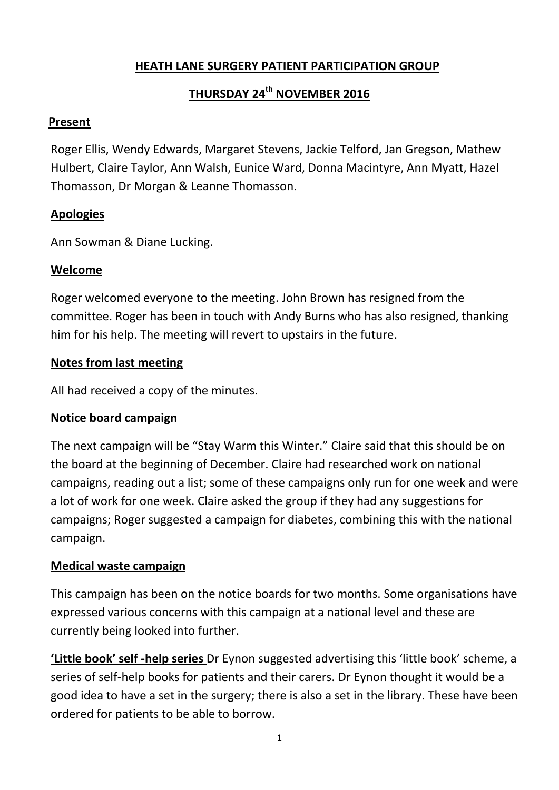## **HEATH LANE SURGERY PATIENT PARTICIPATION GROUP**

# **THURSDAY 24th NOVEMBER 2016**

#### **Present**

Roger Ellis, Wendy Edwards, Margaret Stevens, Jackie Telford, Jan Gregson, Mathew Hulbert, Claire Taylor, Ann Walsh, Eunice Ward, Donna Macintyre, Ann Myatt, Hazel Thomasson, Dr Morgan & Leanne Thomasson.

#### **Apologies**

Ann Sowman & Diane Lucking.

#### **Welcome**

Roger welcomed everyone to the meeting. John Brown has resigned from the committee. Roger has been in touch with Andy Burns who has also resigned, thanking him for his help. The meeting will revert to upstairs in the future.

#### **Notes from last meeting**

All had received a copy of the minutes.

## **Notice board campaign**

The next campaign will be "Stay Warm this Winter." Claire said that this should be on the board at the beginning of December. Claire had researched work on national campaigns, reading out a list; some of these campaigns only run for one week and were a lot of work for one week. Claire asked the group if they had any suggestions for campaigns; Roger suggested a campaign for diabetes, combining this with the national campaign.

## **Medical waste campaign**

This campaign has been on the notice boards for two months. Some organisations have expressed various concerns with this campaign at a national level and these are currently being looked into further.

**'Little book' self -help series** Dr Eynon suggested advertising this 'little book' scheme, a series of self-help books for patients and their carers. Dr Eynon thought it would be a good idea to have a set in the surgery; there is also a set in the library. These have been ordered for patients to be able to borrow.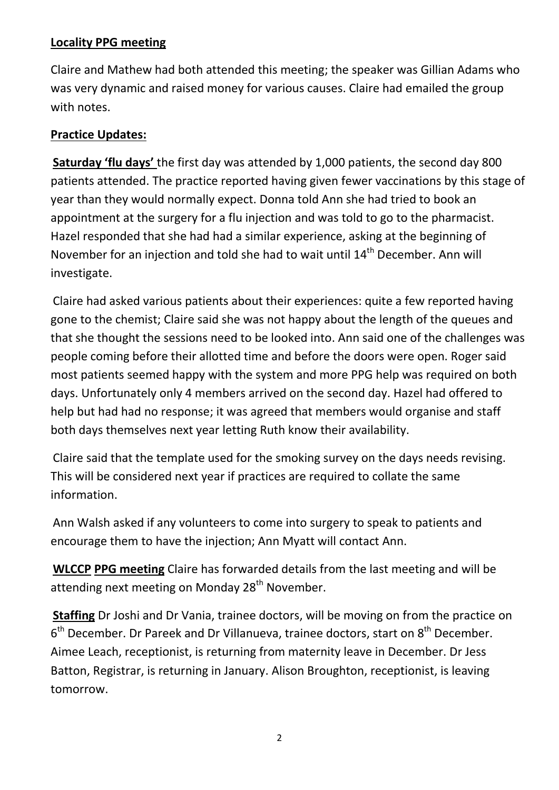## **Locality PPG meeting**

Claire and Mathew had both attended this meeting; the speaker was Gillian Adams who was very dynamic and raised money for various causes. Claire had emailed the group with notes.

## **Practice Updates:**

**Saturday 'flu days'** the first day was attended by 1,000 patients, the second day 800 patients attended. The practice reported having given fewer vaccinations by this stage of year than they would normally expect. Donna told Ann she had tried to book an appointment at the surgery for a flu injection and was told to go to the pharmacist. Hazel responded that she had had a similar experience, asking at the beginning of November for an injection and told she had to wait until 14<sup>th</sup> December. Ann will investigate.

Claire had asked various patients about their experiences: quite a few reported having gone to the chemist; Claire said she was not happy about the length of the queues and that she thought the sessions need to be looked into. Ann said one of the challenges was people coming before their allotted time and before the doors were open. Roger said most patients seemed happy with the system and more PPG help was required on both days. Unfortunately only 4 members arrived on the second day. Hazel had offered to help but had had no response; it was agreed that members would organise and staff both days themselves next year letting Ruth know their availability.

Claire said that the template used for the smoking survey on the days needs revising. This will be considered next year if practices are required to collate the same information.

Ann Walsh asked if any volunteers to come into surgery to speak to patients and encourage them to have the injection; Ann Myatt will contact Ann.

**WLCCP PPG meeting** Claire has forwarded details from the last meeting and will be attending next meeting on Monday 28<sup>th</sup> November.

**Staffing** Dr Joshi and Dr Vania, trainee doctors, will be moving on from the practice on 6<sup>th</sup> December. Dr Pareek and Dr Villanueva, trainee doctors, start on 8<sup>th</sup> December. Aimee Leach, receptionist, is returning from maternity leave in December. Dr Jess Batton, Registrar, is returning in January. Alison Broughton, receptionist, is leaving tomorrow.